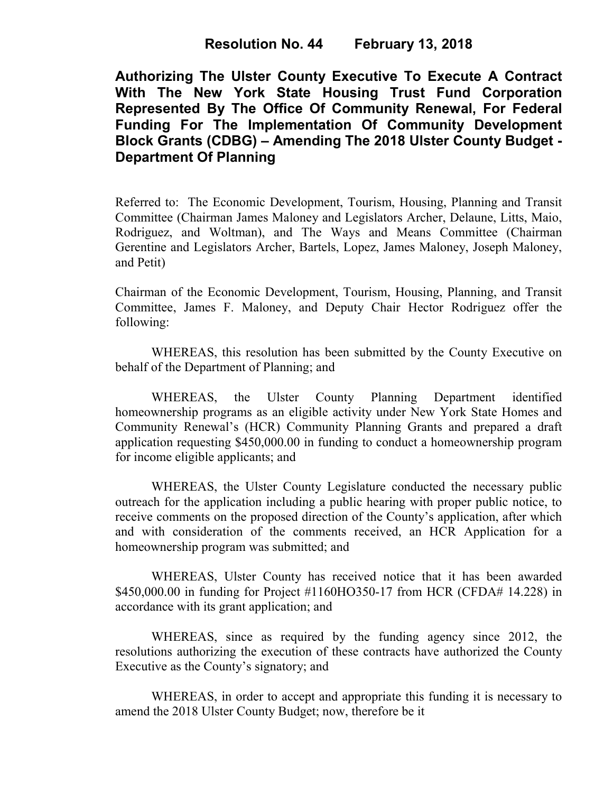# **Resolution No. 44 February 13, 2018**

**Authorizing The Ulster County Executive To Execute A Contract With The New York State Housing Trust Fund Corporation Represented By The Office Of Community Renewal, For Federal Funding For The Implementation Of Community Development Block Grants (CDBG) – Amending The 2018 Ulster County Budget - Department Of Planning** 

Referred to: The Economic Development, Tourism, Housing, Planning and Transit Committee (Chairman James Maloney and Legislators Archer, Delaune, Litts, Maio, Rodriguez, and Woltman), and The Ways and Means Committee (Chairman Gerentine and Legislators Archer, Bartels, Lopez, James Maloney, Joseph Maloney, and Petit)

Chairman of the Economic Development, Tourism, Housing, Planning, and Transit Committee, James F. Maloney, and Deputy Chair Hector Rodriguez offer the following:

WHEREAS, this resolution has been submitted by the County Executive on behalf of the Department of Planning; and

WHEREAS, the Ulster County Planning Department identified homeownership programs as an eligible activity under New York State Homes and Community Renewal's (HCR) Community Planning Grants and prepared a draft application requesting \$450,000.00 in funding to conduct a homeownership program for income eligible applicants; and

WHEREAS, the Ulster County Legislature conducted the necessary public outreach for the application including a public hearing with proper public notice, to receive comments on the proposed direction of the County's application, after which and with consideration of the comments received, an HCR Application for a homeownership program was submitted; and

WHEREAS, Ulster County has received notice that it has been awarded \$450,000.00 in funding for Project #1160HO350-17 from HCR (CFDA# 14.228) in accordance with its grant application; and

WHEREAS, since as required by the funding agency since 2012, the resolutions authorizing the execution of these contracts have authorized the County Executive as the County's signatory; and

WHEREAS, in order to accept and appropriate this funding it is necessary to amend the 2018 Ulster County Budget; now, therefore be it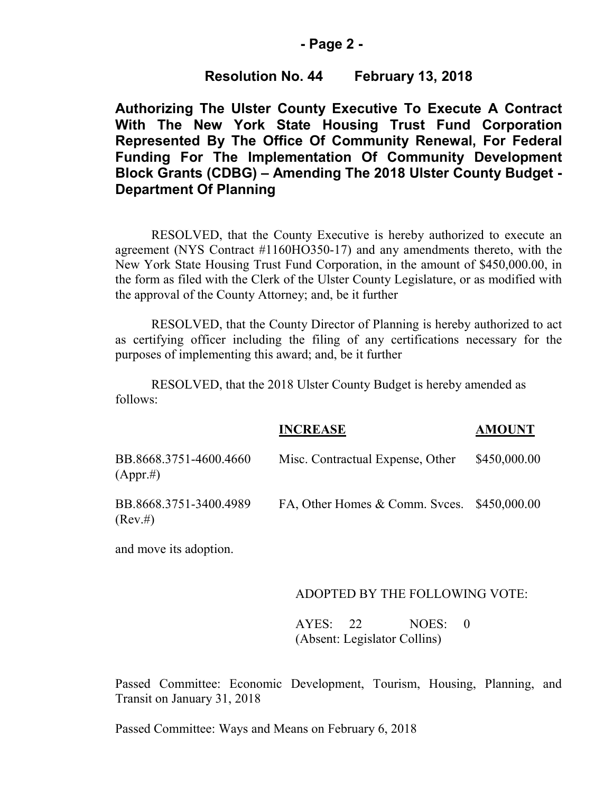### **- Page 2 -**

# **Resolution No. 44 February 13, 2018**

**Authorizing The Ulster County Executive To Execute A Contract With The New York State Housing Trust Fund Corporation Represented By The Office Of Community Renewal, For Federal Funding For The Implementation Of Community Development Block Grants (CDBG) – Amending The 2018 Ulster County Budget - Department Of Planning** 

RESOLVED, that the County Executive is hereby authorized to execute an agreement (NYS Contract #1160HO350-17) and any amendments thereto, with the New York State Housing Trust Fund Corporation, in the amount of \$450,000.00, in the form as filed with the Clerk of the Ulster County Legislature, or as modified with the approval of the County Attorney; and, be it further

RESOLVED, that the County Director of Planning is hereby authorized to act as certifying officer including the filing of any certifications necessary for the purposes of implementing this award; and, be it further

RESOLVED, that the 2018 Ulster County Budget is hereby amended as follows:

|                                        | <b>INCREASE</b>                                | <b>AMOUNT</b> |
|----------------------------------------|------------------------------------------------|---------------|
| BB.8668.3751-4600.4660<br>$(Appr. \#)$ | Misc. Contractual Expense, Other               | \$450,000.00  |
| BB.8668.3751-3400.4989<br>(Rev. #)     | FA, Other Homes $&$ Comm. Svces. $$450,000.00$ |               |

and move its adoption.

#### ADOPTED BY THE FOLLOWING VOTE:

AYES: 22 NOES: 0 (Absent: Legislator Collins)

Passed Committee: Economic Development, Tourism, Housing, Planning, and Transit on January 31, 2018

Passed Committee: Ways and Means on February 6, 2018